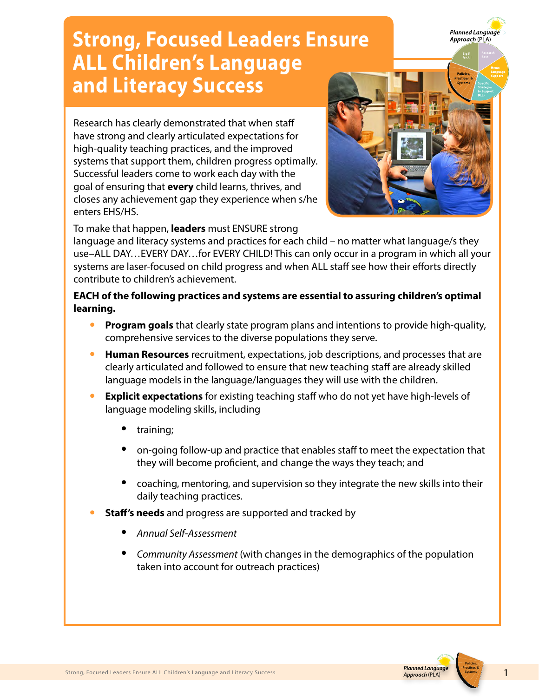## **Strong, Focused Leaders Ensure ALL Children's Language and Literacy Success**

Research has clearly demonstrated that when staff have strong and clearly articulated expectations for high-quality teaching practices, and the improved systems that support them, children progress optimally. Successful leaders come to work each day with the goal of ensuring that **every** child learns, thrives, and closes any achievement gap they experience when s/he enters EHS/HS.



**Planned Language** Approach (PĽA)

To make that happen, **leaders** must ENSURE strong

language and literacy systems and practices for each child – no matter what language/s they use–ALL DAY…EVERY DAY…for EVERY CHILD! This can only occur in a program in which all your systems are laser-focused on child progress and when ALL staff see how their efforts directly contribute to children's achievement.

## **EACH of the following practices and systems are essential to assuring children's optimal learning.**

- **Program goals** that clearly state program plans and intentions to provide high-quality, comprehensive services to the diverse populations they serve.
- **Human Resources** recruitment, expectations, job descriptions, and processes that are clearly articulated and followed to ensure that new teaching staff are already skilled language models in the language/languages they will use with the children.
- **Explicit expectations** for existing teaching staff who do not yet have high-levels of language modeling skills, including
	- training;
	- on-going follow-up and practice that enables staff to meet the expectation that they will become proficient, and change the ways they teach; and
	- coaching, mentoring, and supervision so they integrate the new skills into their daily teaching practices.
- **Staff's needs** and progress are supported and tracked by
	- *Annual Self-Assessment*
	- *Community Assessment* (with changes in the demographics of the population taken into account for outreach practices)



**Policies, Practices, &**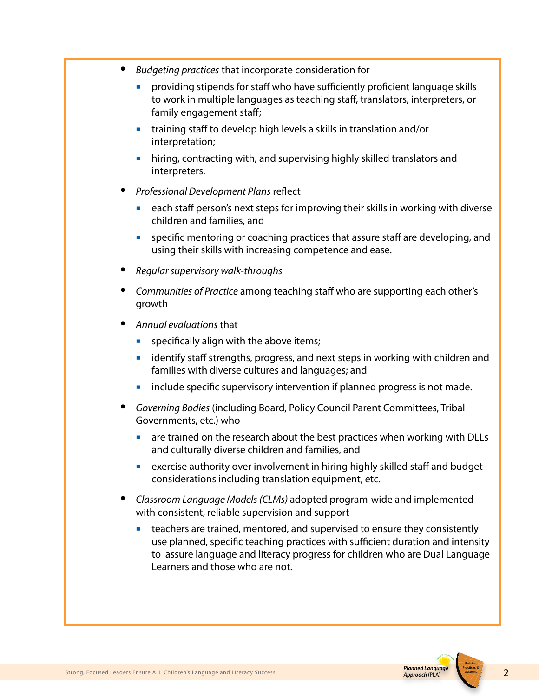- *Budgeting practices* that incorporate consideration for
	- providing stipends for staff who have sufficiently proficient language skills to work in multiple languages as teaching staff, translators, interpreters, or family engagement staff;
	- ¡ training staff to develop high levels a skills in translation and/or interpretation;
	- ¡ hiring, contracting with, and supervising highly skilled translators and interpreters.
- *Professional Development Plans* reflect
	- **each staff person's next steps for improving their skills in working with diverse** children and families, and
	- ¡ specific mentoring or coaching practices that assure staff are developing, and using their skills with increasing competence and ease.
- *Regular supervisory walk-throughs*
- *Communities of Practice* among teaching staff who are supporting each other's growth
- *Annual evaluations* that
	- $\blacksquare$  specifically align with the above items;
	- **EXT** identify staff strengths, progress, and next steps in working with children and families with diverse cultures and languages; and
	- include specific supervisory intervention if planned progress is not made.
- *Governing Bodies* (including Board, Policy Council Parent Committees, Tribal Governments, etc.) who
	- are trained on the research about the best practices when working with DLLs and culturally diverse children and families, and
	- **EXECT:** exercise authority over involvement in hiring highly skilled staff and budget considerations including translation equipment, etc.
- *Classroom Language Models (CLMs)* adopted program-wide and implemented with consistent, reliable supervision and support
	- **•** teachers are trained, mentored, and supervised to ensure they consistently use planned, specific teaching practices with sufficient duration and intensity to assure language and literacy progress for children who are Dual Language Learners and those who are not.

**Policies,**